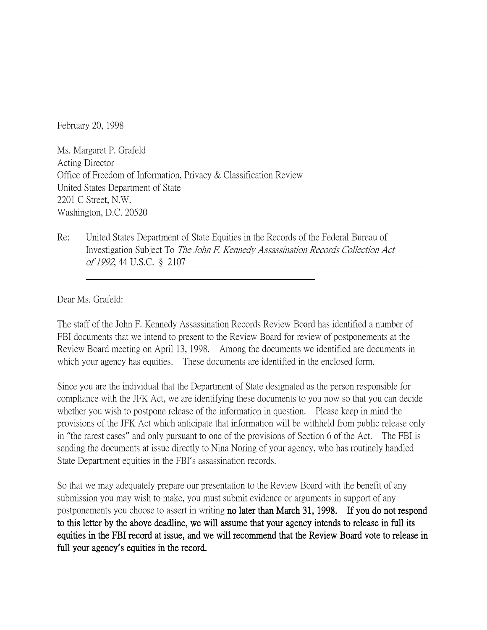February 20, 1998

Ms. Margaret P. Grafeld Acting Director Office of Freedom of Information, Privacy & Classification Review United States Department of State 2201 C Street, N.W. Washington, D.C. 20520

Re: United States Department of State Equities in the Records of the Federal Bureau of Investigation Subject To The John F. Kennedy Assassination Records Collection Act of 1992, 44 U.S.C. § 2107

Dear Ms. Grafeld:

The staff of the John F. Kennedy Assassination Records Review Board has identified a number of FBI documents that we intend to present to the Review Board for review of postponements at the Review Board meeting on April 13, 1998. Among the documents we identified are documents in which your agency has equities. These documents are identified in the enclosed form.

Since you are the individual that the Department of State designated as the person responsible for compliance with the JFK Act, we are identifying these documents to you now so that you can decide whether you wish to postpone release of the information in question. Please keep in mind the provisions of the JFK Act which anticipate that information will be withheld from public release only in "the rarest cases" and only pursuant to one of the provisions of Section 6 of the Act. The FBI is sending the documents at issue directly to Nina Noring of your agency, who has routinely handled State Department equities in the FBI's assassination records.

So that we may adequately prepare our presentation to the Review Board with the benefit of any submission you may wish to make, you must submit evidence or arguments in support of any postponements you choose to assert in writing no later than March 31, 1998. If you do not respond to this letter by the above deadline, we will assume that your agency intends to release in full its equities in the FBI record at issue, and we will recommend that the Review Board vote to release in full your agency**'**s equities in the record.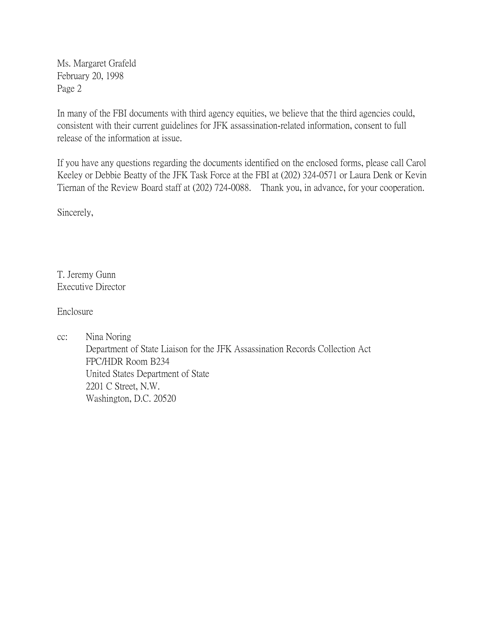Ms. Margaret Grafeld February 20, 1998 Page 2

In many of the FBI documents with third agency equities, we believe that the third agencies could, consistent with their current guidelines for JFK assassination-related information, consent to full release of the information at issue.

If you have any questions regarding the documents identified on the enclosed forms, please call Carol Keeley or Debbie Beatty of the JFK Task Force at the FBI at (202) 324-0571 or Laura Denk or Kevin Tiernan of the Review Board staff at (202) 724-0088. Thank you, in advance, for your cooperation.

Sincerely,

T. Jeremy Gunn Executive Director

Enclosure

cc: Nina Noring Department of State Liaison for the JFK Assassination Records Collection Act FPC/HDR Room B234 United States Department of State 2201 C Street, N.W. Washington, D.C. 20520